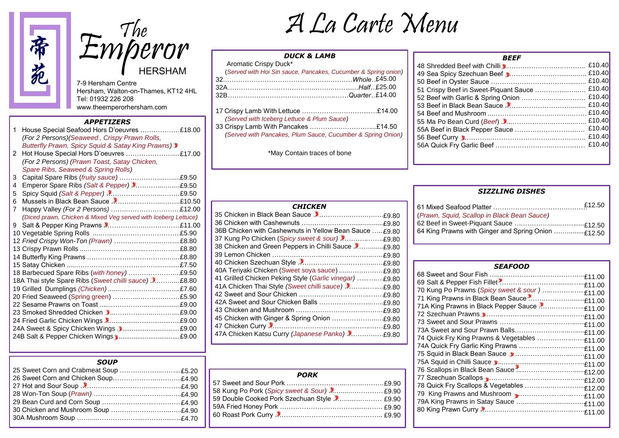

Emperor HERSHAM

7-9 Hersham Centre Hersham, Walton-on-Thames, KT12 4HL Tel: 01932 226 208 www.theemperorhersham.com

### *APPETIZERS*

| 1 | House Special Seafood Hors D'oeuvres £18.00                    |  |
|---|----------------------------------------------------------------|--|
|   | (For 2 Persons) (Seaweed, Crispy Prawn Rolls,                  |  |
|   | <b>Butterfly Prawn, Spicy Squid &amp; Satay King Prawns)</b>   |  |
| 2 | Hot House Special Hors D'oeuvres £17.00                        |  |
|   | (For 2 Persons) (Prawn Toast, Satay Chicken,                   |  |
|   | Spare Ribs, Seaweed & Spring Rolls)                            |  |
| 3 |                                                                |  |
| 4 |                                                                |  |
| 5 |                                                                |  |
| 6 |                                                                |  |
| 7 |                                                                |  |
|   | (Diced prawn, Chicken & Mixed Veg served with Iceberg Lettuce) |  |
| 9 |                                                                |  |
|   |                                                                |  |
|   |                                                                |  |
|   |                                                                |  |
|   |                                                                |  |
|   |                                                                |  |
|   |                                                                |  |
|   | 18A Thai style Spare Ribs (Sweet chilli sauce) 2£8.80          |  |
|   |                                                                |  |
|   |                                                                |  |
|   |                                                                |  |
|   |                                                                |  |
|   |                                                                |  |
|   |                                                                |  |
|   |                                                                |  |

# A La Carte Menu

## *DUCK & LAMB*

| Aromatic Crispy Duck* |                                                                |
|-----------------------|----------------------------------------------------------------|
|                       | (Served with Hoi Sin sauce, Pancakes, Cucumber & Spring onion) |
|                       |                                                                |
|                       | 32A…………………………………………………………Half…£25.00                           |
|                       | 32B…………………………………………………Quarter…£14.00                           |

| (Served with Iceberg Lettuce & Plum Sauce)                  |  |
|-------------------------------------------------------------|--|
|                                                             |  |
| (Served with Pancakes, Plum Sauce, Cucumber & Spring Onion) |  |

\*May Contain traces of bone

| <i><b>BEEF</b></i>                            |        |
|-----------------------------------------------|--------|
|                                               |        |
|                                               |        |
|                                               |        |
| 51 Crispy Beef in Sweet-Piquant Sauce  £10.40 |        |
|                                               |        |
|                                               | £10.40 |
|                                               |        |
|                                               |        |
|                                               |        |
|                                               | £10.40 |
|                                               |        |
|                                               |        |
|                                               |        |

## *SIZZLING DISHES*

| <b>CHICKEN</b>                                          |  |
|---------------------------------------------------------|--|
|                                                         |  |
|                                                         |  |
| 36B Chicken with Cashewnuts in Yellow Bean Sauce £9.80  |  |
|                                                         |  |
| 38 Chicken and Green Peppers in Chilli Sauce 2£9.80     |  |
|                                                         |  |
|                                                         |  |
|                                                         |  |
| 41 Grilled Chicken Peking Style (Garlic vinegar)  £9.80 |  |
|                                                         |  |
|                                                         |  |
|                                                         |  |
|                                                         |  |
|                                                         |  |
|                                                         |  |
|                                                         |  |

| <b>PORK</b>                                 |  |
|---------------------------------------------|--|
|                                             |  |
|                                             |  |
| 59 Double Cooked Pork Szechuan Style  £9.90 |  |
|                                             |  |
|                                             |  |
|                                             |  |

|                                                     | £12.50 |
|-----------------------------------------------------|--------|
| (Prawn, Squid, Scallop in Black Bean Sauce)         |        |
|                                                     |        |
| 64 King Prawns with Ginger and Spring Onion  £12.50 |        |

| <b>SEAFOOD</b>                                 |  |
|------------------------------------------------|--|
|                                                |  |
|                                                |  |
| 70 Kung Po Prawns (Spicy sweet & sour)  £11.00 |  |
|                                                |  |
|                                                |  |
|                                                |  |
|                                                |  |
|                                                |  |
|                                                |  |
|                                                |  |
|                                                |  |
|                                                |  |
|                                                |  |
|                                                |  |
|                                                |  |
| 79 King Prawns and Mushroom<br>1.00            |  |
|                                                |  |
|                                                |  |
|                                                |  |